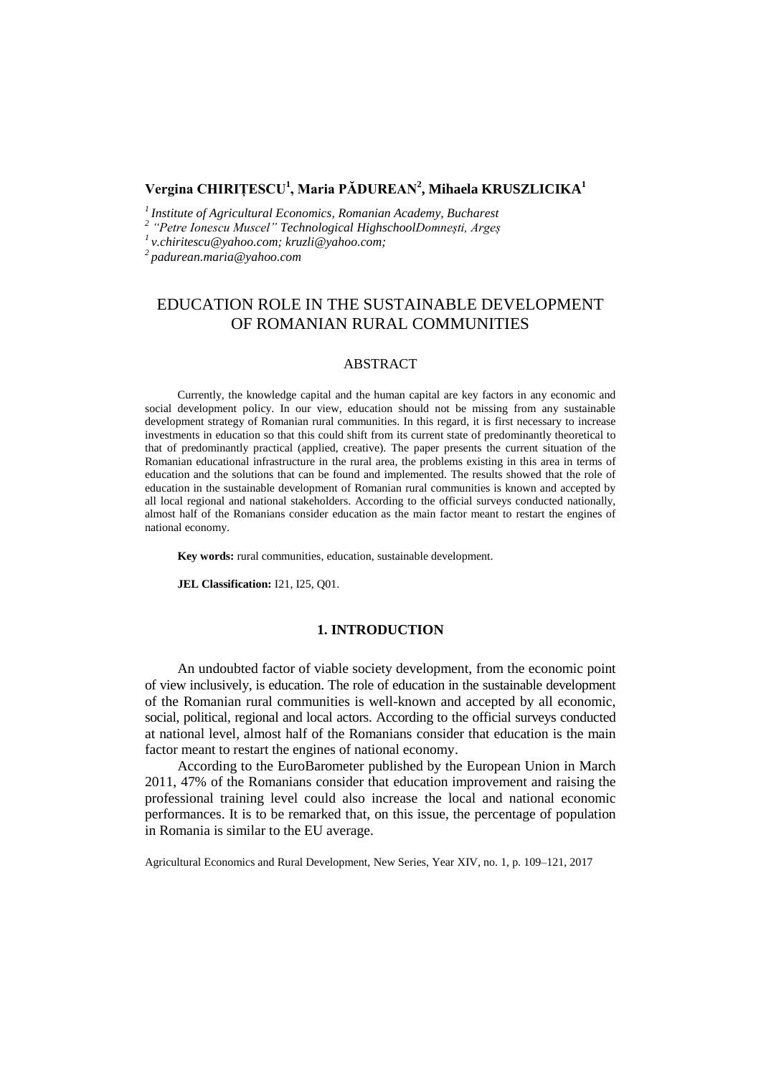# **Vergina CHIRIȚESCU<sup>1</sup> , Maria PĂDUREAN<sup>2</sup> , Mihaela KRUSZLICIKA<sup>1</sup>**

*1 Institute of Agricultural Economics, Romanian Academy, Bucharest*

*2 "Petre Ionescu Muscel" Technological HighschoolDomnești, Argeș*

*1 [v.chiritescu@yahoo.com;](mailto:1v.chiritescu@yahoo.com) kruzli@yahoo.com;*

*2 padurean.maria@yahoo.com*

# EDUCATION ROLE IN THE SUSTAINABLE DEVELOPMENT OF ROMANIAN RURAL COMMUNITIES

## ABSTRACT

Currently, the knowledge capital and the human capital are key factors in any economic and social development policy. In our view, education should not be missing from any sustainable development strategy of Romanian rural communities. In this regard, it is first necessary to increase investments in education so that this could shift from its current state of predominantly theoretical to that of predominantly practical (applied, creative). The paper presents the current situation of the Romanian educational infrastructure in the rural area, the problems existing in this area in terms of education and the solutions that can be found and implemented. The results showed that the role of education in the sustainable development of Romanian rural communities is known and accepted by all local regional and national stakeholders. According to the official surveys conducted nationally, almost half of the Romanians consider education as the main factor meant to restart the engines of national economy.

**Key words:** rural communities, education, sustainable development.

**JEL Classification:** I21, I25, Q01.

## **1. INTRODUCTION**

An undoubted factor of viable society development, from the economic point of view inclusively, is education. The role of education in the sustainable development of the Romanian rural communities is well-known and accepted by all economic, social, political, regional and local actors. According to the official surveys conducted at national level, almost half of the Romanians consider that education is the main factor meant to restart the engines of national economy.

According to the EuroBarometer published by the European Union in March 2011, 47% of the Romanians consider that education improvement and raising the professional training level could also increase the local and national economic performances. It is to be remarked that, on this issue, the percentage of population in Romania is similar to the EU average.

Agricultural Economics and Rural Development, New Series, Year XIV, no. 1, p. 109–121, 2017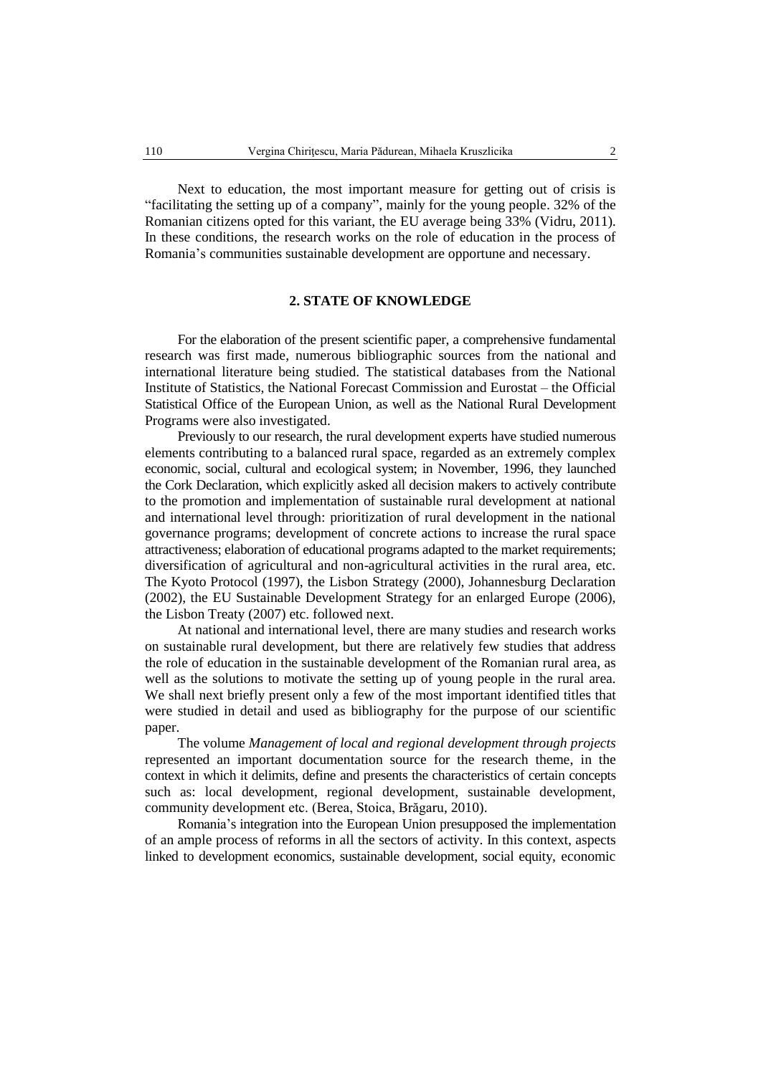Next to education, the most important measure for getting out of crisis is "facilitating the setting up of a company", mainly for the young people. 32% of the Romanian citizens opted for this variant, the EU average being 33% (Vidru, 2011). In these conditions, the research works on the role of education in the process of Romania's communities sustainable development are opportune and necessary.

### **2. STATE OF KNOWLEDGE**

For the elaboration of the present scientific paper, a comprehensive fundamental research was first made, numerous bibliographic sources from the national and international literature being studied. The statistical databases from the National Institute of Statistics, the National Forecast Commission and Eurostat – the Official Statistical Office of the European Union, as well as the National Rural Development Programs were also investigated.

Previously to our research, the rural development experts have studied numerous elements contributing to a balanced rural space, regarded as an extremely complex economic, social, cultural and ecological system; in November, 1996, they launched the Cork Declaration, which explicitly asked all decision makers to actively contribute to the promotion and implementation of sustainable rural development at national and international level through: prioritization of rural development in the national governance programs; development of concrete actions to increase the rural space attractiveness; elaboration of educational programs adapted to the market requirements; diversification of agricultural and non-agricultural activities in the rural area, etc. The Kyoto Protocol (1997), the Lisbon Strategy (2000), Johannesburg Declaration (2002), the EU Sustainable Development Strategy for an enlarged Europe (2006), the Lisbon Treaty (2007) etc. followed next.

At national and international level, there are many studies and research works on sustainable rural development, but there are relatively few studies that address the role of education in the sustainable development of the Romanian rural area, as well as the solutions to motivate the setting up of young people in the rural area. We shall next briefly present only a few of the most important identified titles that were studied in detail and used as bibliography for the purpose of our scientific paper.

The volume *Management of local and regional development through projects*  represented an important documentation source for the research theme, in the context in which it delimits, define and presents the characteristics of certain concepts such as: local development, regional development, sustainable development, community development etc. (Berea, Stoica, Brăgaru, 2010).

Romania's integration into the European Union presupposed the implementation of an ample process of reforms in all the sectors of activity. In this context, aspects linked to development economics, sustainable development, social equity, economic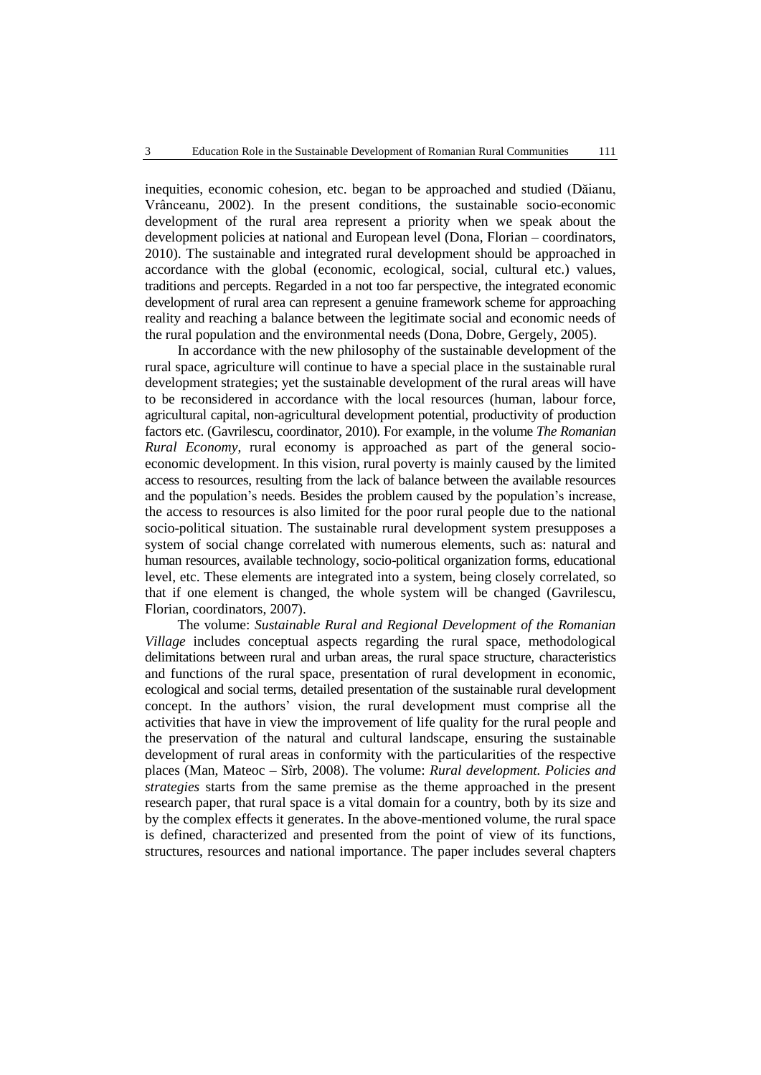inequities, economic cohesion, etc. began to be approached and studied (Dăianu, Vrânceanu, 2002). In the present conditions, the sustainable socio-economic development of the rural area represent a priority when we speak about the development policies at national and European level (Dona, Florian – coordinators, 2010). The sustainable and integrated rural development should be approached in accordance with the global (economic, ecological, social, cultural etc.) values, traditions and percepts. Regarded in a not too far perspective, the integrated economic development of rural area can represent a genuine framework scheme for approaching reality and reaching a balance between the legitimate social and economic needs of the rural population and the environmental needs (Dona, Dobre, Gergely, 2005).

In accordance with the new philosophy of the sustainable development of the rural space, agriculture will continue to have a special place in the sustainable rural development strategies; yet the sustainable development of the rural areas will have to be reconsidered in accordance with the local resources (human, labour force, agricultural capital, non-agricultural development potential, productivity of production factors etc. (Gavrilescu, coordinator, 2010). For example, in the volume *The Romanian Rural Economy*, rural economy is approached as part of the general socioeconomic development. In this vision, rural poverty is mainly caused by the limited access to resources, resulting from the lack of balance between the available resources and the population's needs. Besides the problem caused by the population's increase, the access to resources is also limited for the poor rural people due to the national socio-political situation. The sustainable rural development system presupposes a system of social change correlated with numerous elements, such as: natural and human resources, available technology, socio-political organization forms, educational level, etc. These elements are integrated into a system, being closely correlated, so that if one element is changed, the whole system will be changed (Gavrilescu, Florian, coordinators, 2007).

The volume: *Sustainable Rural and Regional Development of the Romanian Village* includes conceptual aspects regarding the rural space, methodological delimitations between rural and urban areas, the rural space structure, characteristics and functions of the rural space, presentation of rural development in economic, ecological and social terms, detailed presentation of the sustainable rural development concept. In the authors' vision, the rural development must comprise all the activities that have in view the improvement of life quality for the rural people and the preservation of the natural and cultural landscape, ensuring the sustainable development of rural areas in conformity with the particularities of the respective places (Man, Mateoc – Sîrb, 2008). The volume: *Rural development. Policies and strategies* starts from the same premise as the theme approached in the present research paper, that rural space is a vital domain for a country, both by its size and by the complex effects it generates. In the above-mentioned volume, the rural space is defined, characterized and presented from the point of view of its functions, structures, resources and national importance. The paper includes several chapters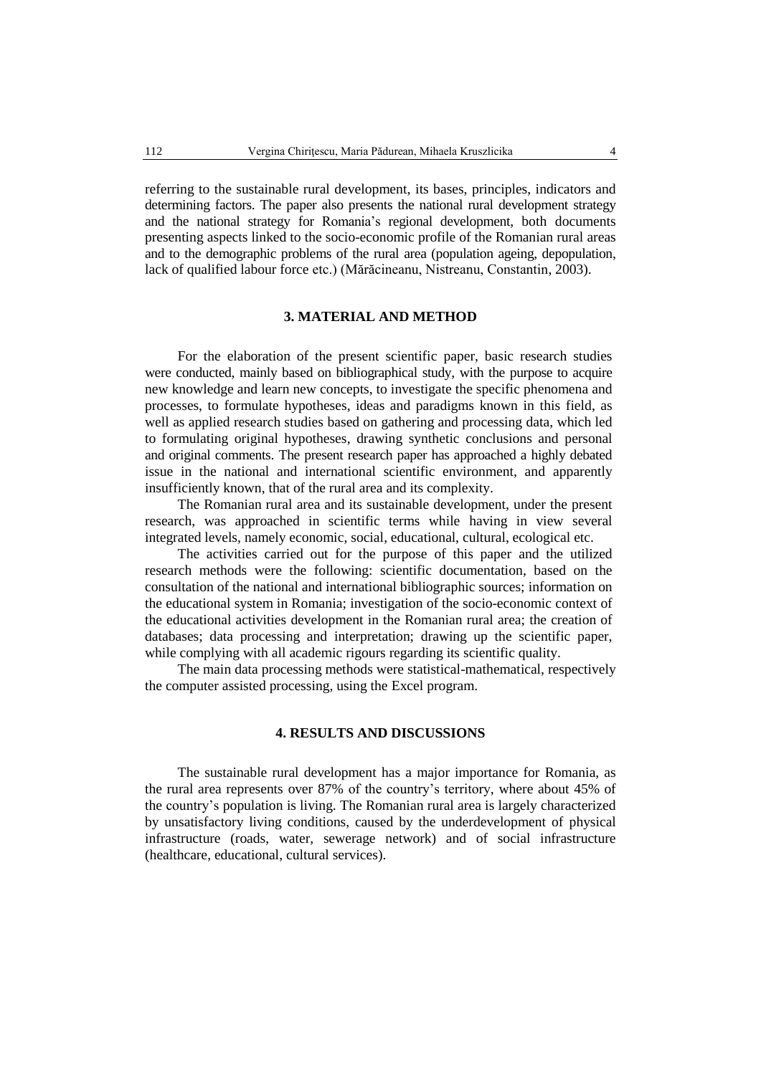referring to the sustainable rural development, its bases, principles, indicators and determining factors. The paper also presents the national rural development strategy and the national strategy for Romania's regional development, both documents presenting aspects linked to the socio-economic profile of the Romanian rural areas and to the demographic problems of the rural area (population ageing, depopulation, lack of qualified labour force etc.) (Mărăcineanu, Nistreanu, Constantin, 2003).

# **3. MATERIAL AND METHOD**

For the elaboration of the present scientific paper, basic research studies were conducted, mainly based on bibliographical study, with the purpose to acquire new knowledge and learn new concepts, to investigate the specific phenomena and processes, to formulate hypotheses, ideas and paradigms known in this field, as well as applied research studies based on gathering and processing data, which led to formulating original hypotheses, drawing synthetic conclusions and personal and original comments. The present research paper has approached a highly debated issue in the national and international scientific environment, and apparently insufficiently known, that of the rural area and its complexity.

The Romanian rural area and its sustainable development, under the present research, was approached in scientific terms while having in view several integrated levels, namely economic, social, educational, cultural, ecological etc.

The activities carried out for the purpose of this paper and the utilized research methods were the following: scientific documentation, based on the consultation of the national and international bibliographic sources; information on the educational system in Romania; investigation of the socio-economic context of the educational activities development in the Romanian rural area; the creation of databases; data processing and interpretation; drawing up the scientific paper, while complying with all academic rigours regarding its scientific quality.

The main data processing methods were statistical-mathematical, respectively the computer assisted processing, using the Excel program.

# **4. RESULTS AND DISCUSSIONS**

The sustainable rural development has a major importance for Romania, as the rural area represents over 87% of the country's territory, where about 45% of the country's population is living. The Romanian rural area is largely characterized by unsatisfactory living conditions, caused by the underdevelopment of physical infrastructure (roads, water, sewerage network) and of social infrastructure (healthcare, educational, cultural services).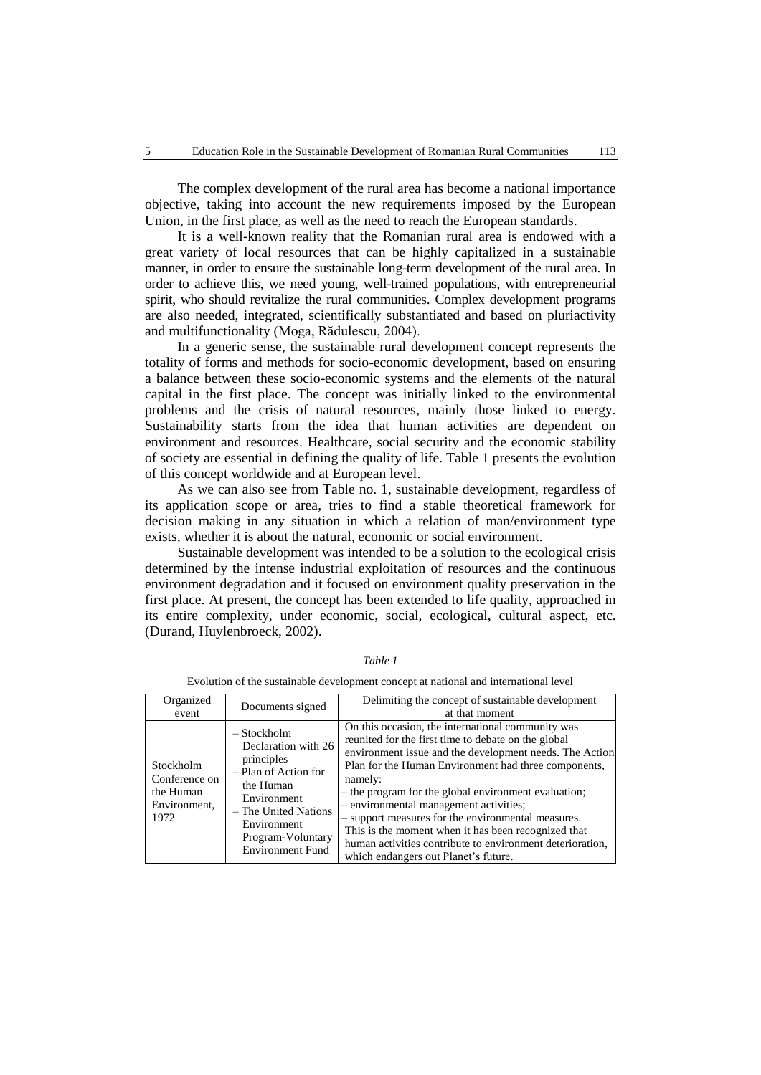The complex development of the rural area has become a national importance objective, taking into account the new requirements imposed by the European Union, in the first place, as well as the need to reach the European standards.

It is a well-known reality that the Romanian rural area is endowed with a great variety of local resources that can be highly capitalized in a sustainable manner, in order to ensure the sustainable long-term development of the rural area. In order to achieve this, we need young, well-trained populations, with entrepreneurial spirit, who should revitalize the rural communities. Complex development programs are also needed, integrated, scientifically substantiated and based on pluriactivity and multifunctionality (Moga, Rădulescu, 2004).

In a generic sense, the sustainable rural development concept represents the totality of forms and methods for socio-economic development, based on ensuring a balance between these socio-economic systems and the elements of the natural capital in the first place. The concept was initially linked to the environmental problems and the crisis of natural resources, mainly those linked to energy. Sustainability starts from the idea that human activities are dependent on environment and resources. Healthcare, social security and the economic stability of society are essential in defining the quality of life. Table 1 presents the evolution of this concept worldwide and at European level.

As we can also see from Table no. 1, sustainable development, regardless of its application scope or area, tries to find a stable theoretical framework for decision making in any situation in which a relation of man/environment type exists, whether it is about the natural, economic or social environment.

Sustainable development was intended to be a solution to the ecological crisis determined by the intense industrial exploitation of resources and the continuous environment degradation and it focused on environment quality preservation in the first place. At present, the concept has been extended to life quality, approached in its entire complexity, under economic, social, ecological, cultural aspect, etc. (Durand, Huylenbroeck, 2002).

| Organized<br>event                                              | Documents signed                                                                                                                                                                              | Delimiting the concept of sustainable development<br>at that moment                                                                                                                                                                                                                                                                                                                                                                                                                                                                                        |
|-----------------------------------------------------------------|-----------------------------------------------------------------------------------------------------------------------------------------------------------------------------------------------|------------------------------------------------------------------------------------------------------------------------------------------------------------------------------------------------------------------------------------------------------------------------------------------------------------------------------------------------------------------------------------------------------------------------------------------------------------------------------------------------------------------------------------------------------------|
| Stockholm<br>Conference on<br>the Human<br>Environment,<br>1972 | $-$ Stockholm<br>Declaration with 26<br>principles<br>- Plan of Action for<br>the Human<br>Environment<br>– The United Nations<br>Environment<br>Program-Voluntary<br><b>Environment Fund</b> | On this occasion, the international community was<br>reunited for the first time to debate on the global<br>environment issue and the development needs. The Action<br>Plan for the Human Environment had three components,<br>namely:<br>- the program for the global environment evaluation;<br>- environmental management activities;<br>- support measures for the environmental measures.<br>This is the moment when it has been recognized that<br>human activities contribute to environment deterioration,<br>which endangers out Planet's future. |

*Table 1*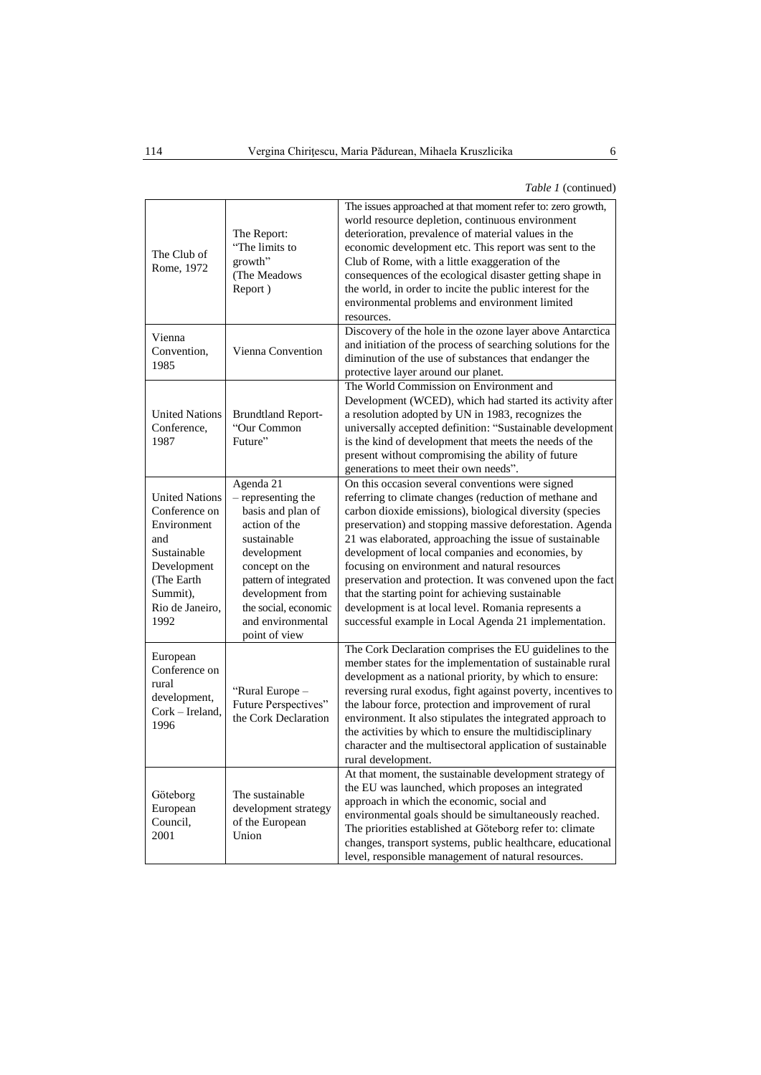*Table 1* (continued)

| The Club of<br>Rome, 1972                                                                                                                       | The Report:<br>"The limits to<br>growth"<br>(The Meadows<br>Report)                                                                                                                                                              | The issues approached at that moment refer to: zero growth,<br>world resource depletion, continuous environment<br>deterioration, prevalence of material values in the<br>economic development etc. This report was sent to the<br>Club of Rome, with a little exaggeration of the<br>consequences of the ecological disaster getting shape in<br>the world, in order to incite the public interest for the<br>environmental problems and environment limited<br>resources.                                                                                                                                                           |  |  |  |  |
|-------------------------------------------------------------------------------------------------------------------------------------------------|----------------------------------------------------------------------------------------------------------------------------------------------------------------------------------------------------------------------------------|---------------------------------------------------------------------------------------------------------------------------------------------------------------------------------------------------------------------------------------------------------------------------------------------------------------------------------------------------------------------------------------------------------------------------------------------------------------------------------------------------------------------------------------------------------------------------------------------------------------------------------------|--|--|--|--|
| Vienna<br>Convention,<br>1985                                                                                                                   | Vienna Convention                                                                                                                                                                                                                | Discovery of the hole in the ozone layer above Antarctica<br>and initiation of the process of searching solutions for the<br>diminution of the use of substances that endanger the<br>protective layer around our planet.                                                                                                                                                                                                                                                                                                                                                                                                             |  |  |  |  |
| <b>United Nations</b><br>Conference,<br>1987                                                                                                    | <b>Brundtland Report-</b><br>"Our Common<br>Future"                                                                                                                                                                              | The World Commission on Environment and<br>Development (WCED), which had started its activity after<br>a resolution adopted by UN in 1983, recognizes the<br>universally accepted definition: "Sustainable development<br>is the kind of development that meets the needs of the<br>present without compromising the ability of future<br>generations to meet their own needs".                                                                                                                                                                                                                                                       |  |  |  |  |
| <b>United Nations</b><br>Conference on<br>Environment<br>and<br>Sustainable<br>Development<br>(The Earth<br>Summit),<br>Rio de Janeiro,<br>1992 | Agenda 21<br>- representing the<br>basis and plan of<br>action of the<br>sustainable<br>development<br>concept on the<br>pattern of integrated<br>development from<br>the social, economic<br>and environmental<br>point of view | On this occasion several conventions were signed<br>referring to climate changes (reduction of methane and<br>carbon dioxide emissions), biological diversity (species<br>preservation) and stopping massive deforestation. Agenda<br>21 was elaborated, approaching the issue of sustainable<br>development of local companies and economies, by<br>focusing on environment and natural resources<br>preservation and protection. It was convened upon the fact<br>that the starting point for achieving sustainable<br>development is at local level. Romania represents a<br>successful example in Local Agenda 21 implementation. |  |  |  |  |
| European<br>Conference on<br>rural<br>development,<br>Cork - Ireland,<br>1996                                                                   | "Rural Europe -<br>Future Perspectives"<br>the Cork Declaration                                                                                                                                                                  | The Cork Declaration comprises the EU guidelines to the<br>member states for the implementation of sustainable rural<br>development as a national priority, by which to ensure:<br>reversing rural exodus, fight against poverty, incentives to<br>the labour force, protection and improvement of rural<br>environment. It also stipulates the integrated approach to<br>the activities by which to ensure the multidisciplinary<br>character and the multisectoral application of sustainable<br>rural development.                                                                                                                 |  |  |  |  |
| Göteborg<br>European<br>Council.<br>2001                                                                                                        | The sustainable<br>development strategy<br>of the European<br>Union                                                                                                                                                              | At that moment, the sustainable development strategy of<br>the EU was launched, which proposes an integrated<br>approach in which the economic, social and<br>environmental goals should be simultaneously reached.<br>The priorities established at Göteborg refer to: climate<br>changes, transport systems, public healthcare, educational<br>level, responsible management of natural resources.                                                                                                                                                                                                                                  |  |  |  |  |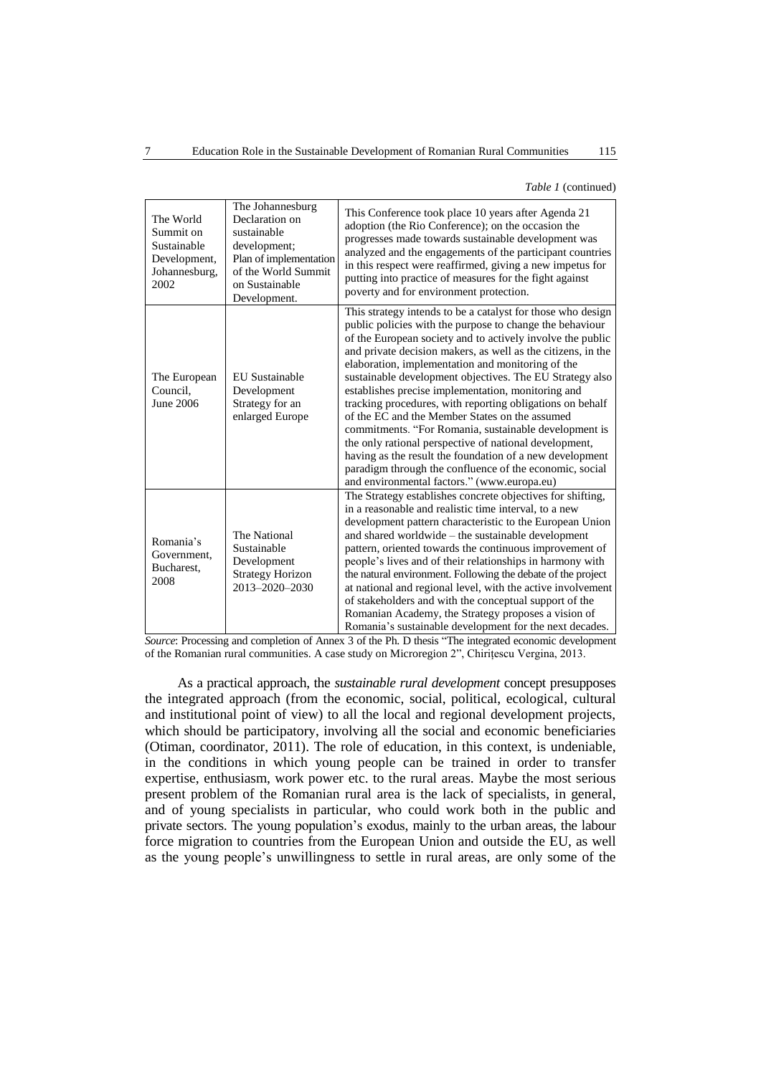*Table 1* (continued)

| The World<br>Summit on<br>Sustainable<br>Development,<br>Johannesburg,<br>2002 | The Johannesburg<br>Declaration on<br>sustainable<br>development;<br>Plan of implementation<br>of the World Summit<br>on Sustainable<br>Development. | This Conference took place 10 years after Agenda 21<br>adoption (the Rio Conference); on the occasion the<br>progresses made towards sustainable development was<br>analyzed and the engagements of the participant countries<br>in this respect were reaffirmed, giving a new impetus for<br>putting into practice of measures for the fight against<br>poverty and for environment protection.                                                                                                                                                                                                                                                                                                                                                                                                                                     |
|--------------------------------------------------------------------------------|------------------------------------------------------------------------------------------------------------------------------------------------------|--------------------------------------------------------------------------------------------------------------------------------------------------------------------------------------------------------------------------------------------------------------------------------------------------------------------------------------------------------------------------------------------------------------------------------------------------------------------------------------------------------------------------------------------------------------------------------------------------------------------------------------------------------------------------------------------------------------------------------------------------------------------------------------------------------------------------------------|
| The European<br>Council,<br><b>June 2006</b>                                   | <b>EU</b> Sustainable<br>Development<br>Strategy for an<br>enlarged Europe                                                                           | This strategy intends to be a catalyst for those who design<br>public policies with the purpose to change the behaviour<br>of the European society and to actively involve the public<br>and private decision makers, as well as the citizens, in the<br>elaboration, implementation and monitoring of the<br>sustainable development objectives. The EU Strategy also<br>establishes precise implementation, monitoring and<br>tracking procedures, with reporting obligations on behalf<br>of the EC and the Member States on the assumed<br>commitments. "For Romania, sustainable development is<br>the only rational perspective of national development,<br>having as the result the foundation of a new development<br>paradigm through the confluence of the economic, social<br>and environmental factors." (www.europa.eu) |
| Romania's<br>Government,<br>Bucharest,<br>2008                                 | The National<br>Sustainable<br>Development<br><b>Strategy Horizon</b><br>2013-2020-2030                                                              | The Strategy establishes concrete objectives for shifting,<br>in a reasonable and realistic time interval, to a new<br>development pattern characteristic to the European Union<br>and shared worldwide – the sustainable development<br>pattern, oriented towards the continuous improvement of<br>people's lives and of their relationships in harmony with<br>the natural environment. Following the debate of the project<br>at national and regional level, with the active involvement<br>of stakeholders and with the conceptual support of the<br>Romanian Academy, the Strategy proposes a vision of<br>Romania's sustainable development for the next decades.                                                                                                                                                             |

*Source*: Processing and completion of Annex 3 of the Ph. D thesis "The integrated economic development of the Romanian rural communities. A case study on Microregion 2", Chirițescu Vergina, 2013.

As a practical approach, the *sustainable rural development* concept presupposes the integrated approach (from the economic, social, political, ecological, cultural and institutional point of view) to all the local and regional development projects, which should be participatory, involving all the social and economic beneficiaries (Otiman, coordinator, 2011). The role of education, in this context, is undeniable, in the conditions in which young people can be trained in order to transfer expertise, enthusiasm, work power etc. to the rural areas. Maybe the most serious present problem of the Romanian rural area is the lack of specialists, in general, and of young specialists in particular, who could work both in the public and private sectors. The young population's exodus, mainly to the urban areas, the labour force migration to countries from the European Union and outside the EU, as well as the young people's unwillingness to settle in rural areas, are only some of the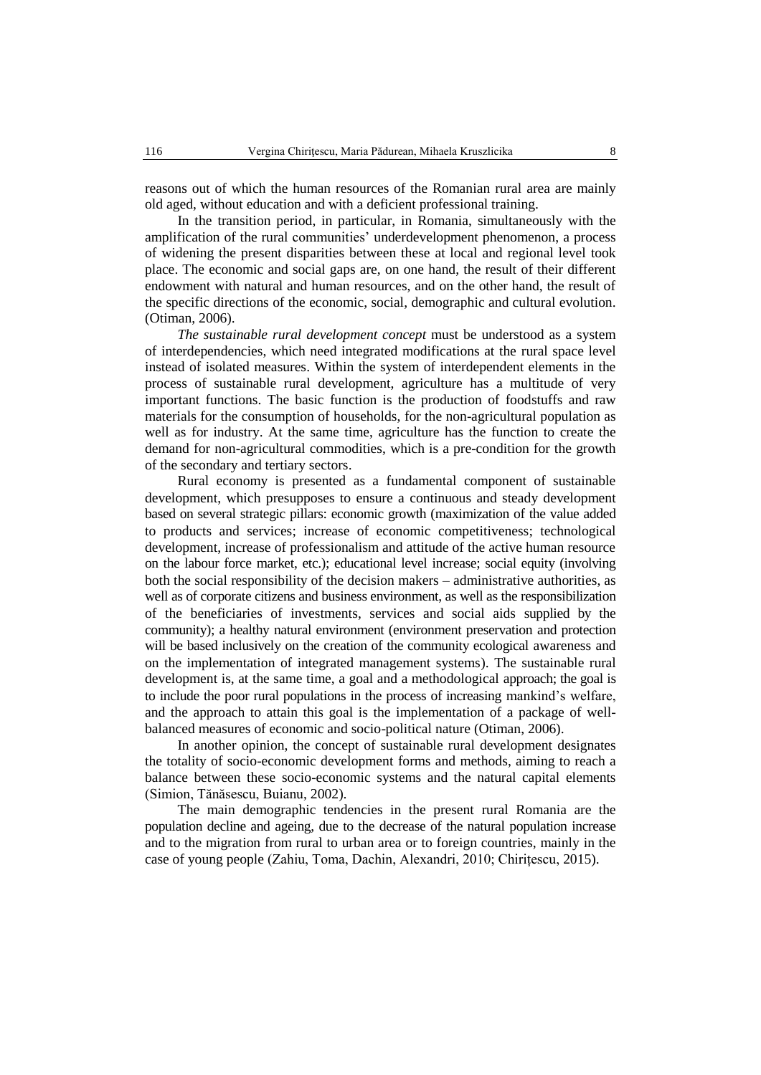reasons out of which the human resources of the Romanian rural area are mainly old aged, without education and with a deficient professional training.

In the transition period, in particular, in Romania, simultaneously with the amplification of the rural communities' underdevelopment phenomenon, a process of widening the present disparities between these at local and regional level took place. The economic and social gaps are, on one hand, the result of their different endowment with natural and human resources, and on the other hand, the result of the specific directions of the economic, social, demographic and cultural evolution. (Otiman, 2006).

*The sustainable rural development concept* must be understood as a system of interdependencies, which need integrated modifications at the rural space level instead of isolated measures. Within the system of interdependent elements in the process of sustainable rural development, agriculture has a multitude of very important functions. The basic function is the production of foodstuffs and raw materials for the consumption of households, for the non-agricultural population as well as for industry. At the same time, agriculture has the function to create the demand for non-agricultural commodities, which is a pre-condition for the growth of the secondary and tertiary sectors.

Rural economy is presented as a fundamental component of sustainable development, which presupposes to ensure a continuous and steady development based on several strategic pillars: economic growth (maximization of the value added to products and services; increase of economic competitiveness; technological development, increase of professionalism and attitude of the active human resource on the labour force market, etc.); educational level increase; social equity (involving both the social responsibility of the decision makers – administrative authorities, as well as of corporate citizens and business environment, as well as the responsibilization of the beneficiaries of investments, services and social aids supplied by the community); a healthy natural environment (environment preservation and protection will be based inclusively on the creation of the community ecological awareness and on the implementation of integrated management systems). The sustainable rural development is, at the same time, a goal and a methodological approach; the goal is to include the poor rural populations in the process of increasing mankind's welfare, and the approach to attain this goal is the implementation of a package of wellbalanced measures of economic and socio-political nature (Otiman, 2006).

In another opinion, the concept of sustainable rural development designates the totality of socio-economic development forms and methods, aiming to reach a balance between these socio-economic systems and the natural capital elements (Simion, Tănăsescu, Buianu, 2002).

The main demographic tendencies in the present rural Romania are the population decline and ageing, due to the decrease of the natural population increase and to the migration from rural to urban area or to foreign countries, mainly in the case of young people (Zahiu, Toma, Dachin, Alexandri, 2010; Chirițescu, 2015).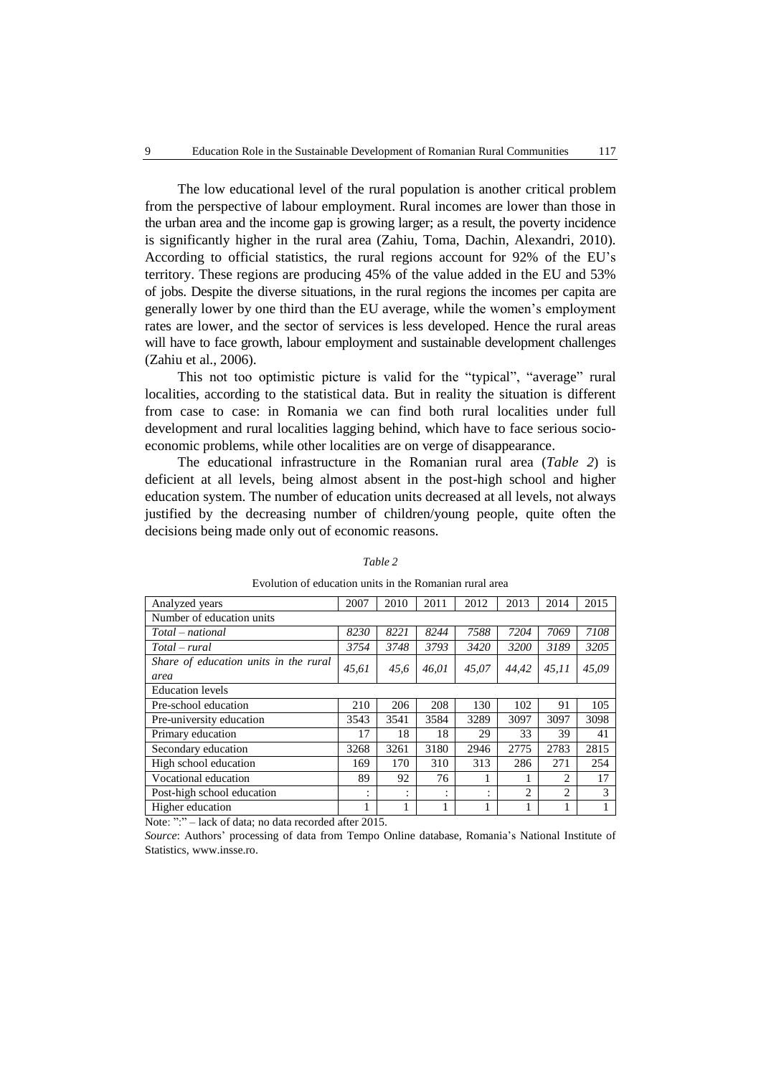The low educational level of the rural population is another critical problem from the perspective of labour employment. Rural incomes are lower than those in the urban area and the income gap is growing larger; as a result, the poverty incidence is significantly higher in the rural area (Zahiu, Toma, Dachin, Alexandri, 2010). According to official statistics, the rural regions account for 92% of the EU's territory. These regions are producing 45% of the value added in the EU and 53% of jobs. Despite the diverse situations, in the rural regions the incomes per capita are generally lower by one third than the EU average, while the women's employment rates are lower, and the sector of services is less developed. Hence the rural areas will have to face growth, labour employment and sustainable development challenges (Zahiu et al., 2006).

This not too optimistic picture is valid for the "typical", "average" rural localities, according to the statistical data. But in reality the situation is different from case to case: in Romania we can find both rural localities under full development and rural localities lagging behind, which have to face serious socioeconomic problems, while other localities are on verge of disappearance.

The educational infrastructure in the Romanian rural area (*Table 2*) is deficient at all levels, being almost absent in the post-high school and higher education system. The number of education units decreased at all levels, not always justified by the decreasing number of children/young people, quite often the decisions being made only out of economic reasons.

| Analyzed years                        | 2007  | 2010 | 2011   | 2012      | 2013          | 2014                        | 2015  |  |
|---------------------------------------|-------|------|--------|-----------|---------------|-----------------------------|-------|--|
| Number of education units             |       |      |        |           |               |                             |       |  |
| Total – national                      | 8230  | 8221 | 8244   | 7588      | 7204          | 7069                        | 7108  |  |
| $Total - rural$                       | 3754  | 3748 | 3793   | 3420      | 3200          | 3189                        | 3205  |  |
| Share of education units in the rural | 45,61 | 45.6 | 46.01  | 45,07     | 44.42         | 45.11                       | 45,09 |  |
| area                                  |       |      |        |           |               |                             |       |  |
| <b>Education</b> levels               |       |      |        |           |               |                             |       |  |
| Pre-school education                  | 210   | 206  | 208    | 130       | 102           | 91                          | 105   |  |
| Pre-university education              | 3543  | 3541 | 3584   | 3289      | 3097          | 3097                        | 3098  |  |
| Primary education                     | 17    | 18   | 18     | 29        | 33            | 39                          | 41    |  |
| Secondary education                   | 3268  | 3261 | 3180   | 2946      | 2775          | 2783                        | 2815  |  |
| High school education                 | 169   | 170  | 310    | 313       | 286           | 271                         | 254   |  |
| Vocational education                  | 89    | 92   | 76     |           |               | 2                           | 17    |  |
| Post-high school education            | ٠     | ٠    | ٠<br>٠ | $\bullet$ | $\mathcal{L}$ | $\mathcal{D}_{\mathcal{L}}$ | 3     |  |
| Higher education                      |       |      |        |           |               |                             |       |  |

#### *Table 2*

Evolution of education units in the Romanian rural area

Note: ":" – lack of data; no data recorded after 2015.

*Source*: Authors' processing of data from Tempo Online database, Romania's National Institute of Statistics[, www.insse.ro.](http://www.insse.ro/)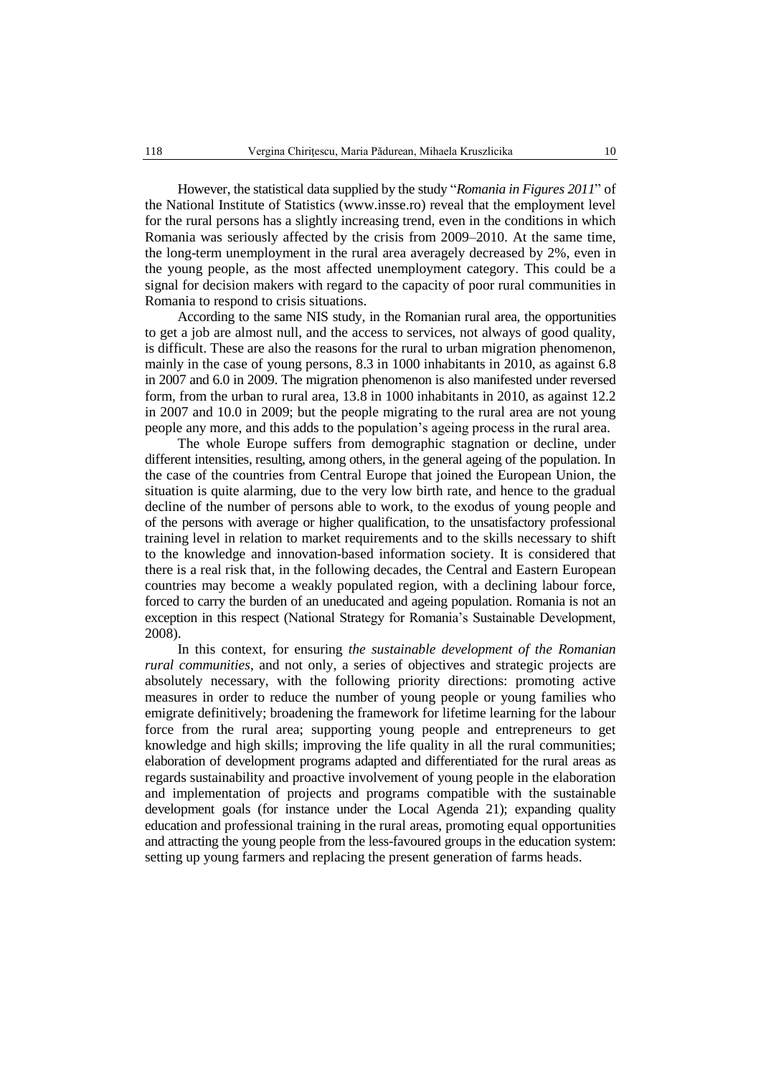However, the statistical data supplied by the study "*Romania in Figures 2011*" of the National Institute of Statistics (www.insse.ro) reveal that the employment level for the rural persons has a slightly increasing trend, even in the conditions in which Romania was seriously affected by the crisis from 2009–2010. At the same time, the long-term unemployment in the rural area averagely decreased by 2%, even in the young people, as the most affected unemployment category. This could be a signal for decision makers with regard to the capacity of poor rural communities in Romania to respond to crisis situations.

According to the same NIS study, in the Romanian rural area, the opportunities to get a job are almost null, and the access to services, not always of good quality, is difficult. These are also the reasons for the rural to urban migration phenomenon, mainly in the case of young persons, 8.3 in 1000 inhabitants in 2010, as against 6.8 in 2007 and 6.0 in 2009. The migration phenomenon is also manifested under reversed form, from the urban to rural area, 13.8 in 1000 inhabitants in 2010, as against 12.2 in 2007 and 10.0 in 2009; but the people migrating to the rural area are not young people any more, and this adds to the population's ageing process in the rural area.

The whole Europe suffers from demographic stagnation or decline, under different intensities, resulting, among others, in the general ageing of the population. In the case of the countries from Central Europe that joined the European Union, the situation is quite alarming, due to the very low birth rate, and hence to the gradual decline of the number of persons able to work, to the exodus of young people and of the persons with average or higher qualification, to the unsatisfactory professional training level in relation to market requirements and to the skills necessary to shift to the knowledge and innovation-based information society. It is considered that there is a real risk that, in the following decades, the Central and Eastern European countries may become a weakly populated region, with a declining labour force, forced to carry the burden of an uneducated and ageing population. Romania is not an exception in this respect (National Strategy for Romania's Sustainable Development, 2008).

In this context, for ensuring *the sustainable development of the Romanian rural communities*, and not only, a series of objectives and strategic projects are absolutely necessary, with the following priority directions: promoting active measures in order to reduce the number of young people or young families who emigrate definitively; broadening the framework for lifetime learning for the labour force from the rural area; supporting young people and entrepreneurs to get knowledge and high skills; improving the life quality in all the rural communities; elaboration of development programs adapted and differentiated for the rural areas as regards sustainability and proactive involvement of young people in the elaboration and implementation of projects and programs compatible with the sustainable development goals (for instance under the Local Agenda 21); expanding quality education and professional training in the rural areas, promoting equal opportunities and attracting the young people from the less-favoured groups in the education system: setting up young farmers and replacing the present generation of farms heads.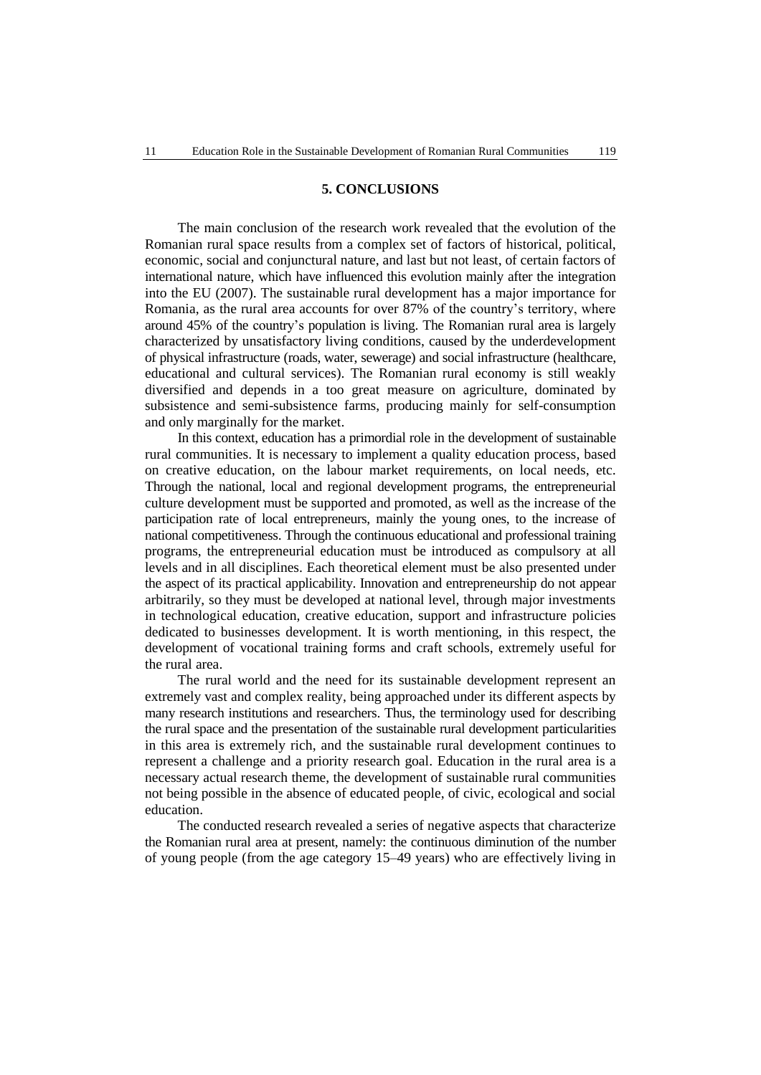## **5. CONCLUSIONS**

The main conclusion of the research work revealed that the evolution of the Romanian rural space results from a complex set of factors of historical, political, economic, social and conjunctural nature, and last but not least, of certain factors of international nature, which have influenced this evolution mainly after the integration into the EU (2007). The sustainable rural development has a major importance for Romania, as the rural area accounts for over 87% of the country's territory, where around 45% of the country's population is living. The Romanian rural area is largely characterized by unsatisfactory living conditions, caused by the underdevelopment of physical infrastructure (roads, water, sewerage) and social infrastructure (healthcare, educational and cultural services). The Romanian rural economy is still weakly diversified and depends in a too great measure on agriculture, dominated by subsistence and semi-subsistence farms, producing mainly for self-consumption and only marginally for the market.

In this context, education has a primordial role in the development of sustainable rural communities. It is necessary to implement a quality education process, based on creative education, on the labour market requirements, on local needs, etc. Through the national, local and regional development programs, the entrepreneurial culture development must be supported and promoted, as well as the increase of the participation rate of local entrepreneurs, mainly the young ones, to the increase of national competitiveness. Through the continuous educational and professional training programs, the entrepreneurial education must be introduced as compulsory at all levels and in all disciplines. Each theoretical element must be also presented under the aspect of its practical applicability. Innovation and entrepreneurship do not appear arbitrarily, so they must be developed at national level, through major investments in technological education, creative education, support and infrastructure policies dedicated to businesses development. It is worth mentioning, in this respect, the development of vocational training forms and craft schools, extremely useful for the rural area.

The rural world and the need for its sustainable development represent an extremely vast and complex reality, being approached under its different aspects by many research institutions and researchers. Thus, the terminology used for describing the rural space and the presentation of the sustainable rural development particularities in this area is extremely rich, and the sustainable rural development continues to represent a challenge and a priority research goal. Education in the rural area is a necessary actual research theme, the development of sustainable rural communities not being possible in the absence of educated people, of civic, ecological and social education.

The conducted research revealed a series of negative aspects that characterize the Romanian rural area at present, namely: the continuous diminution of the number of young people (from the age category 15–49 years) who are effectively living in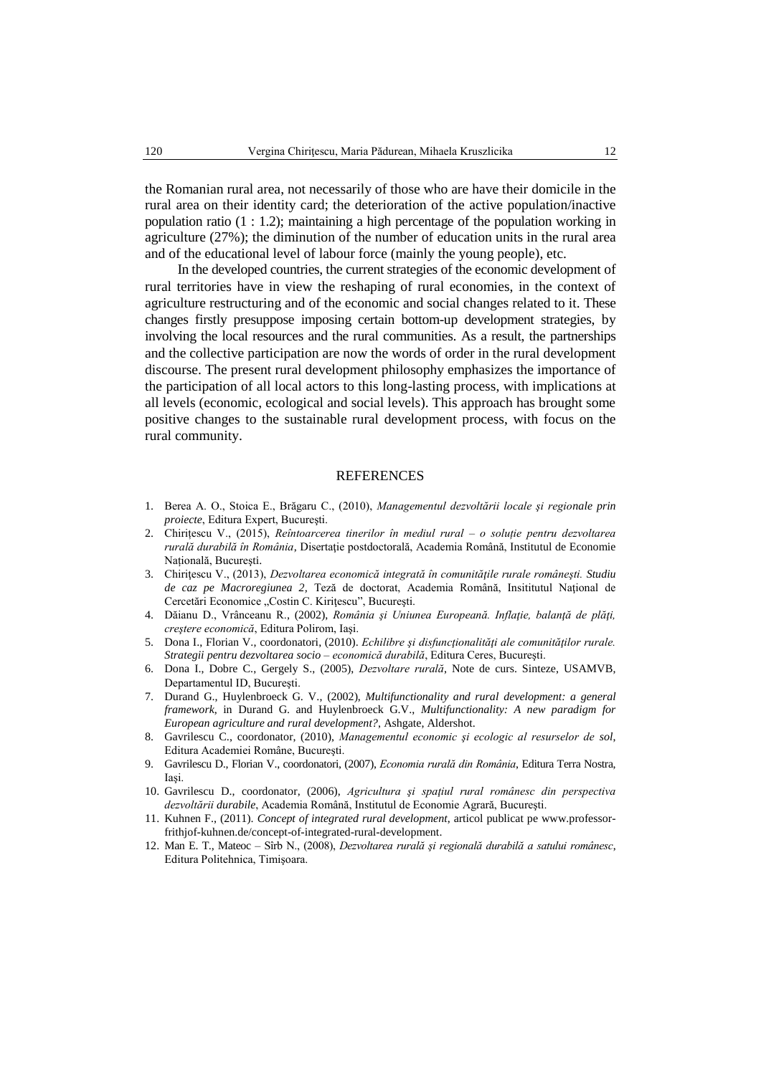the Romanian rural area, not necessarily of those who are have their domicile in the rural area on their identity card; the deterioration of the active population/inactive population ratio (1 : 1.2); maintaining a high percentage of the population working in agriculture (27%); the diminution of the number of education units in the rural area and of the educational level of labour force (mainly the young people), etc.

In the developed countries, the current strategies of the economic development of rural territories have in view the reshaping of rural economies, in the context of agriculture restructuring and of the economic and social changes related to it. These changes firstly presuppose imposing certain bottom-up development strategies, by involving the local resources and the rural communities. As a result, the partnerships and the collective participation are now the words of order in the rural development discourse. The present rural development philosophy emphasizes the importance of the participation of all local actors to this long-lasting process, with implications at all levels (economic, ecological and social levels). This approach has brought some positive changes to the sustainable rural development process, with focus on the rural community.

#### REFERENCES

- 1. Berea A. O., Stoica E., Brăgaru C., (2010), *Managementul dezvoltării locale şi regionale prin proiecte*, Editura Expert, Bucureşti.
- 2. Chirițescu V., (2015), *Reîntoarcerea tinerilor în mediul rural – o soluție pentru dezvoltarea rurală durabilă în România*, Disertaţie postdoctorală, Academia Română, Institutul de Economie Națională, Bucureşti.
- 3. Chiriţescu V., (2013), *Dezvoltarea economică integrată în comunităţile rurale româneşti. Studiu de caz pe Macroregiunea 2,* Teză de doctorat, Academia Română, Insititutul Naţional de Cercetări Economice "Costin C. Kirițescu", București.
- 4. Dăianu D., Vrânceanu R., (2002), *România şi Uniunea Europeană. Inflaţie, balanţă de plăţi, creştere economică*, Editura Polirom, Iaşi.
- 5. Dona I., Florian V., coordonatori, (2010). *Echilibre şi disfuncţionalităţi ale comunităţilor rurale. Strategii pentru dezvoltarea socio – economică durabilă*, Editura Ceres, Bucureşti.
- 6. Dona I., Dobre C., Gergely S., (2005), *Dezvoltare rurală*, Note de curs. Sinteze, USAMVB, Departamentul ID, Bucureşti.
- 7. Durand G., Huylenbroeck G. V., (2002), *Multifunctionality and rural development: a general framework*, in Durand G. and Huylenbroeck G.V., *Multifunctionality: A new paradigm for European agriculture and rural development?*, Ashgate, Aldershot.
- 8. Gavrilescu C., coordonator, (2010), *Managementul economic şi ecologic al resurselor de sol*, Editura Academiei Române, Bucureşti.
- 9. Gavrilescu D., Florian V., coordonatori, (2007), *Economia rurală din România*, Editura Terra Nostra, Iaşi.
- 10. Gavrilescu D., coordonator, (2006), *Agricultura şi spaţiul rural românesc din perspectiva dezvoltării durabile*, Academia Română, Institutul de Economie Agrară, Bucureşti.
- 11. Kuhnen F., (2011). *Concept of integrated rural development*, articol publicat p[e www.professor](http://www.professor-frithjof-kuhnen.de/concept-of-integrated-rural-development)[frithjof-kuhnen.de/concept-of-integrated-rural-development.](http://www.professor-frithjof-kuhnen.de/concept-of-integrated-rural-development)
- 12. Man E. T., Mateoc Sîrb N., (2008), *Dezvoltarea rurală şi regională durabilă a satului românesc*, Editura Politehnica, Timişoara.